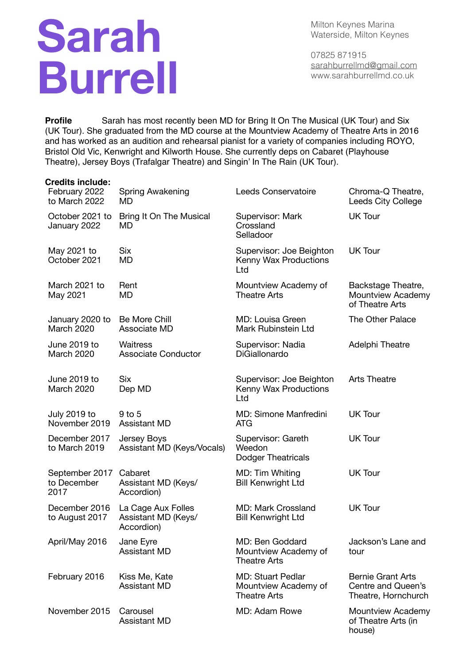## **Sarah Burrell**

Milton Keynes Marina Waterside, Milton Keynes

07825 871915 [sarahburrellmd@gmail.com](mailto:sarahburrellmd@gmail.com) www.sarahburrellmd.co.uk

house)

**Profile** Sarah has most recently been MD for Bring It On The Musical (UK Tour) and Six (UK Tour). She graduated from the MD course at the Mountview Academy of Theatre Arts in 2016 and has worked as an audition and rehearsal pianist for a variety of companies including ROYO, Bristol Old Vic, Kenwright and Kilworth House. She currently deps on Cabaret (Playhouse Theatre), Jersey Boys (Trafalgar Theatre) and Singin' In The Rain (UK Tour).

| <b>Credits include:</b>               |                                                         |                                                                         |                                                                       |
|---------------------------------------|---------------------------------------------------------|-------------------------------------------------------------------------|-----------------------------------------------------------------------|
| February 2022<br>to March 2022        | Spring Awakening<br>MD                                  | Leeds Conservatoire                                                     | Chroma-Q Theatre,<br>Leeds City College                               |
| October 2021 to<br>January 2022       | Bring It On The Musical<br>MD                           | Supervisor: Mark<br>Crossland<br>Selladoor                              | <b>UK Tour</b>                                                        |
| May 2021 to<br>October 2021           | Six<br>MD                                               | Supervisor: Joe Beighton<br>Kenny Wax Productions<br>Ltd                | <b>UK Tour</b>                                                        |
| March 2021 to<br>May 2021             | Rent<br>MD                                              | Mountview Academy of<br><b>Theatre Arts</b>                             | Backstage Theatre,<br>Mountview Academy<br>of Theatre Arts            |
| January 2020 to<br><b>March 2020</b>  | Be More Chill<br>Associate MD                           | MD: Louisa Green<br>Mark Rubinstein Ltd                                 | The Other Palace                                                      |
| June 2019 to<br>March 2020            | Waitress<br><b>Associate Conductor</b>                  | Supervisor: Nadia<br>DiGiallonardo                                      | Adelphi Theatre                                                       |
| June 2019 to<br>March 2020            | <b>Six</b><br>Dep MD                                    | Supervisor: Joe Beighton<br>Kenny Wax Productions<br>Ltd                | <b>Arts Theatre</b>                                                   |
| <b>July 2019 to</b><br>November 2019  | 9 to 5<br><b>Assistant MD</b>                           | MD: Simone Manfredini<br><b>ATG</b>                                     | <b>UK Tour</b>                                                        |
| December 2017<br>to March 2019        | Jersey Boys<br>Assistant MD (Keys/Vocals)               | Supervisor: Gareth<br>Weedon<br>Dodger Theatricals                      | UK Tour                                                               |
| September 2017<br>to December<br>2017 | Cabaret<br>Assistant MD (Keys/<br>Accordion)            | MD: Tim Whiting<br><b>Bill Kenwright Ltd</b>                            | <b>UK Tour</b>                                                        |
| December 2016<br>to August 2017       | La Cage Aux Folles<br>Assistant MD (Keys/<br>Accordion) | <b>MD: Mark Crossland</b><br><b>Bill Kenwright Ltd</b>                  | <b>UK Tour</b>                                                        |
| April/May 2016                        | Jane Eyre<br><b>Assistant MD</b>                        | MD: Ben Goddard<br>Mountview Academy of<br><b>Theatre Arts</b>          | Jackson's Lane and<br>tour                                            |
| February 2016                         | Kiss Me, Kate<br><b>Assistant MD</b>                    | <b>MD: Stuart Pedlar</b><br>Mountview Academy of<br><b>Theatre Arts</b> | <b>Bernie Grant Arts</b><br>Centre and Queen's<br>Theatre, Hornchurch |
| November 2015                         | Carousel<br><b>Assistant MD</b>                         | MD: Adam Rowe                                                           | Mountview Academy<br>of Theatre Arts (in                              |